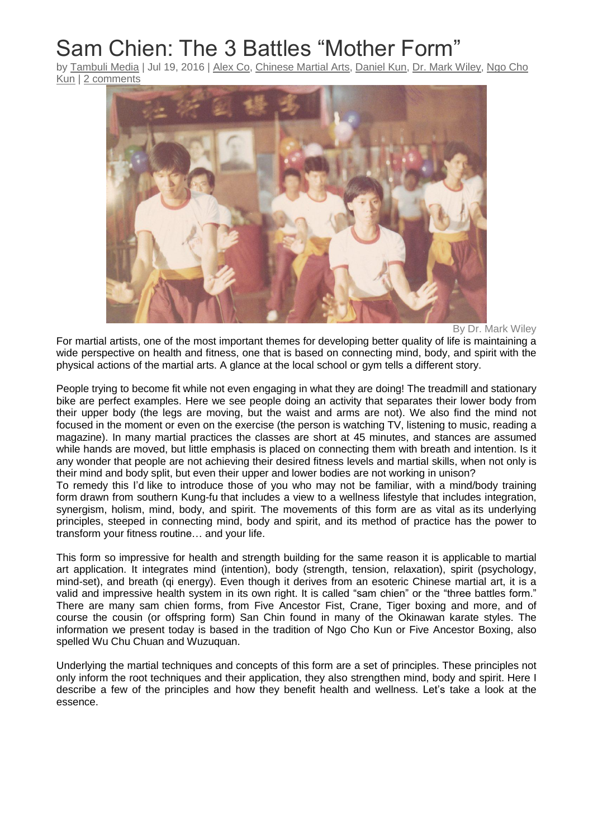# Sam Chien: The 3 Battles "Mother Form"

by [Tambuli](http://www.tambulimedia.com/author/markvwiley/) Media | Jul 19, 2016 | [Alex](http://www.tambulimedia.com/category/authors/alex-co/) Co, [Chinese](http://www.tambulimedia.com/category/chinese-martial-arts/) Martial Arts, [Daniel](http://www.tambulimedia.com/category/authors/daniel-kun/) Kun, Dr. Mark [Wiley,](http://www.tambulimedia.com/category/authors/dr-mark-wiley/) [Ngo](http://www.tambulimedia.com/category/chinese-martial-arts/ngo-cho-kun/) Cho [Kun](http://www.tambulimedia.com/category/chinese-martial-arts/ngo-cho-kun/) | 2 [comments](http://www.tambulimedia.com/2016/07/19/sam-chien-3-battles-mother-form/#respond)



By Dr. Mark Wiley

For martial artists, one of the most important themes for developing better quality of life is maintaining a wide perspective on health and fitness, one that is based on connecting mind, body, and spirit with the physical actions of the martial arts. A glance at the local school or gym tells a different story.

People trying to become fit while not even engaging in what they are doing! The treadmill and stationary bike are perfect examples. Here we see people doing an activity that separates their lower body from their upper body (the legs are moving, but the waist and arms are not). We also find the mind not focused in the moment or even on the exercise (the person is watching TV, listening to music, reading a magazine). In many martial practices the classes are short at 45 minutes, and stances are assumed while hands are moved, but little emphasis is placed on connecting them with breath and intention. Is it any wonder that people are not achieving their desired fitness levels and martial skills, when not only is their mind and body split, but even their upper and lower bodies are not working in unison?

To remedy this I'd like to introduce those of you who may not be familiar, with a mind/body training form drawn from southern Kung-fu that includes a view to a wellness lifestyle that includes integration, synergism, holism, mind, body, and spirit. The movements of this form are as vital as its underlying principles, steeped in connecting mind, body and spirit, and its method of practice has the power to transform your fitness routine… and your life.

This form so impressive for health and strength building for the same reason it is applicable to martial art application. It integrates mind (intention), body (strength, tension, relaxation), spirit (psychology, mind-set), and breath (qi energy). Even though it derives from an esoteric Chinese martial art, it is a valid and impressive health system in its own right. It is called "sam chien" or the "three battles form." There are many sam chien forms, from Five Ancestor Fist, Crane, Tiger boxing and more, and of course the cousin (or offspring form) San Chin found in many of the Okinawan karate styles. The information we present today is based in the tradition of Ngo Cho Kun or Five Ancestor Boxing, also spelled Wu Chu Chuan and Wuzuquan.

Underlying the martial techniques and concepts of this form are a set of principles. These principles not only inform the root techniques and their application, they also strengthen mind, body and spirit. Here I describe a few of the principles and how they benefit health and wellness. Let's take a look at the essence.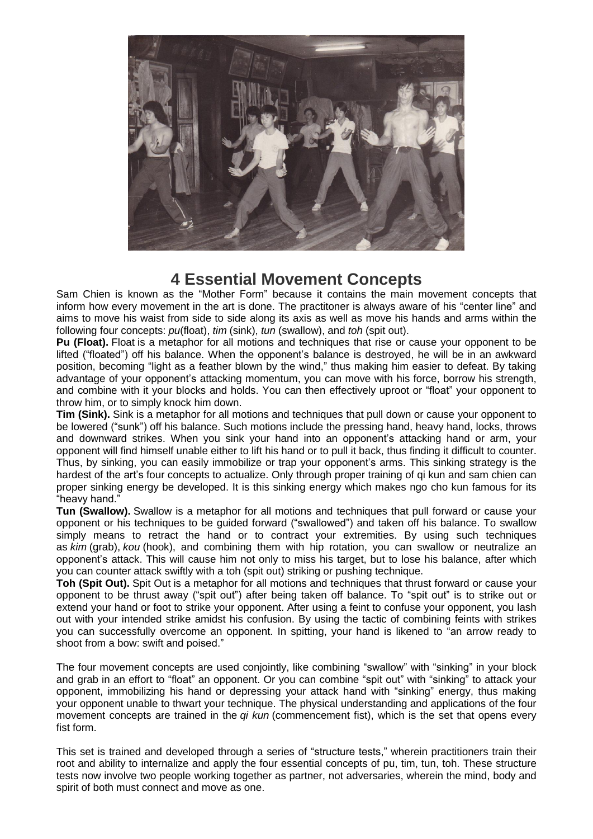

## **4 Essential Movement Concepts**

Sam Chien is known as the "Mother Form" because it contains the main movement concepts that inform how every movement in the art is done. The practitoner is always aware of his "center line" and aims to move his waist from side to side along its axis as well as move his hands and arms within the following four concepts: *pu*(float), *tim* (sink), *tun* (swallow), and *toh* (spit out).

**Pu (Float).** Float is a metaphor for all motions and techniques that rise or cause your opponent to be lifted ("floated") off his balance. When the opponent's balance is destroyed, he will be in an awkward position, becoming "light as a feather blown by the wind," thus making him easier to defeat. By taking advantage of your opponent's attacking momentum, you can move with his force, borrow his strength, and combine with it your blocks and holds. You can then effectively uproot or "float" your opponent to throw him, or to simply knock him down.

**Tim (Sink).** Sink is a metaphor for all motions and techniques that pull down or cause your opponent to be lowered ("sunk") off his balance. Such motions include the pressing hand, heavy hand, locks, throws and downward strikes. When you sink your hand into an opponent's attacking hand or arm, your opponent will find himself unable either to lift his hand or to pull it back, thus finding it difficult to counter. Thus, by sinking, you can easily immobilize or trap your opponent's arms. This sinking strategy is the hardest of the art's four concepts to actualize. Only through proper training of qi kun and sam chien can proper sinking energy be developed. It is this sinking energy which makes ngo cho kun famous for its "heavy hand."

**Tun (Swallow).** Swallow is a metaphor for all motions and techniques that pull forward or cause your opponent or his techniques to be quided forward ("swallowed") and taken off his balance. To swallow simply means to retract the hand or to contract your extremities. By using such techniques as *kim* (grab), *kou* (hook), and combining them with hip rotation, you can swallow or neutralize an opponent's attack. This will cause him not only to miss his target, but to lose his balance, after which you can counter attack swiftly with a toh (spit out) striking or pushing technique.

**Toh (Spit Out).** Spit Out is a metaphor for all motions and techniques that thrust forward or cause your opponent to be thrust away ("spit out") after being taken off balance. To "spit out" is to strike out or extend your hand or foot to strike your opponent. After using a feint to confuse your opponent, you lash out with your intended strike amidst his confusion. By using the tactic of combining feints with strikes you can successfully overcome an opponent. In spitting, your hand is likened to "an arrow ready to shoot from a bow: swift and poised."

The four movement concepts are used conjointly, like combining "swallow" with "sinking" in your block and grab in an effort to "float" an opponent. Or you can combine "spit out" with "sinking" to attack your opponent, immobilizing his hand or depressing your attack hand with "sinking" energy, thus making your opponent unable to thwart your technique. The physical understanding and applications of the four movement concepts are trained in the *qi kun* (commencement fist), which is the set that opens every fist form.

This set is trained and developed through a series of "structure tests," wherein practitioners train their root and ability to internalize and apply the four essential concepts of pu, tim, tun, toh. These structure tests now involve two people working together as partner, not adversaries, wherein the mind, body and spirit of both must connect and move as one.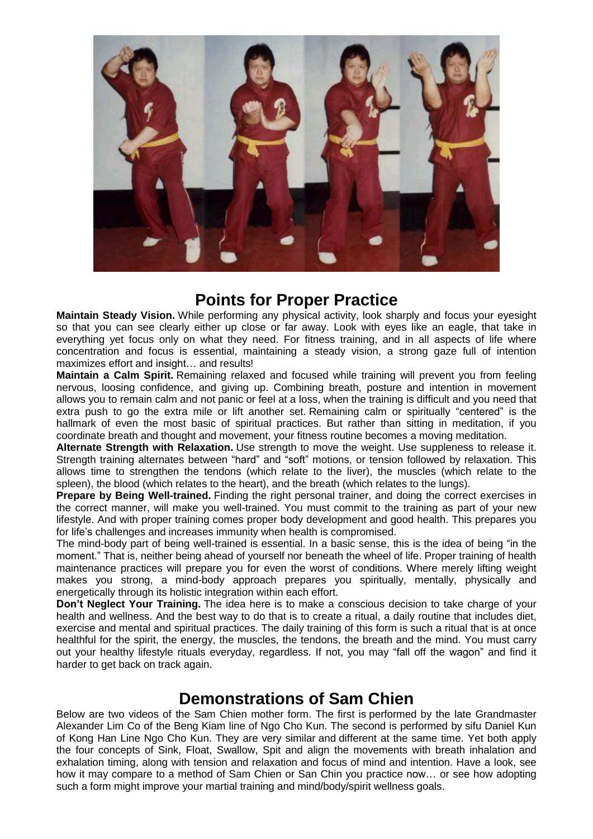

### **Points for Proper Practice**

**Maintain Steady Vision.** While performing any physical activity, look sharply and focus your eyesight so that you can see clearly either up close or far away. Look with eyes like an eagle, that take in everything yet focus only on what they need. For fitness training, and in all aspects of life where concentration and focus is essential, maintaining a steady vision, a strong gaze full of intention maximizes effort and insight… and results!

**Maintain a Calm Spirit.** Remaining relaxed and focused while training will prevent you from feeling nervous, loosing confidence, and giving up. Combining breath, posture and intention in movement allows you to remain calm and not panic or feel at a loss, when the training is difficult and you need that extra push to go the extra mile or lift another set. Remaining calm or spiritually "centered" is the hallmark of even the most basic of spiritual practices. But rather than sitting in meditation, if you coordinate breath and thought and movement, your fitness routine becomes a moving meditation.

**Alternate Strength with Relaxation.** Use strength to move the weight. Use suppleness to release it. Strength training alternates between "hard" and "soft" motions, or tension followed by relaxation. This allows time to strengthen the tendons (which relate to the liver), the muscles (which relate to the spleen), the blood (which relates to the heart), and the breath (which relates to the lungs).

**Prepare by Being Well-trained.** Finding the right personal trainer, and doing the correct exercises in the correct manner, will make you well-trained. You must commit to the training as part of your new lifestyle. And with proper training comes proper body development and good health. This prepares you for life's challenges and increases immunity when health is compromised.

The mind-body part of being well-trained is essential. In a basic sense, this is the idea of being "in the moment." That is, neither being ahead of yourself nor beneath the wheel of life. Proper training of health maintenance practices will prepare you for even the worst of conditions. Where merely lifting weight makes you strong, a mind-body approach prepares you spiritually, mentally, physically and energetically through its holistic integration within each effort.

**Don't Neglect Your Training.** The idea here is to make a conscious decision to take charge of your health and wellness. And the best way to do that is to create a ritual, a daily routine that includes diet, exercise and mental and spiritual practices. The daily training of this form is such a ritual that is at once healthful for the spirit, the energy, the muscles, the tendons, the breath and the mind. You must carry out your healthy lifestyle rituals everyday, regardless. If not, you may "fall off the wagon" and find it harder to get back on track again.

### **Demonstrations of Sam Chien**

Below are two videos of the Sam Chien mother form. The first is performed by the late Grandmaster Alexander Lim Co of the Beng Kiam line of Ngo Cho Kun. The second is performed by sifu Daniel Kun of Kong Han Line Ngo Cho Kun. They are very similar and different at the same time. Yet both apply the four concepts of Sink, Float, Swallow, Spit and align the movements with breath inhalation and exhalation timing, along with tension and relaxation and focus of mind and intention. Have a look, see how it may compare to a method of Sam Chien or San Chin you practice now… or see how adopting such a form might improve your martial training and mind/body/spirit wellness goals.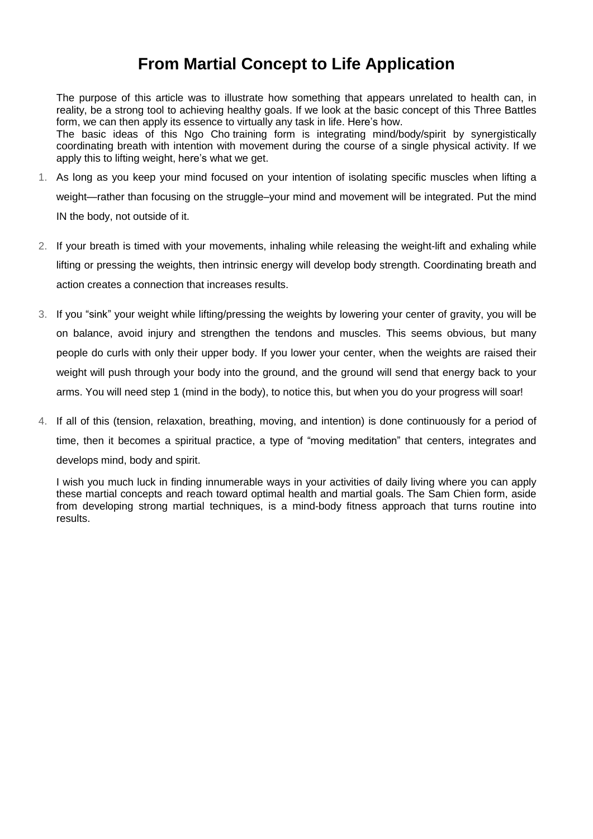## **From Martial Concept to Life Application**

The purpose of this article was to illustrate how something that appears unrelated to health can, in reality, be a strong tool to achieving healthy goals. If we look at the basic concept of this Three Battles form, we can then apply its essence to virtually any task in life. Here's how.

The basic ideas of this Ngo Cho-training form is integrating mind/body/spirit by synergistically coordinating breath with intention with movement during the course of a single physical activity. If we apply this to lifting weight, here's what we get.

- 1. As long as you keep your mind focused on your intention of isolating specific muscles when lifting a weight—rather than focusing on the struggle–your mind and movement will be integrated. Put the mind IN the body, not outside of it.
- 2. If your breath is timed with your movements, inhaling while releasing the weight-lift and exhaling while lifting or pressing the weights, then intrinsic energy will develop body strength. Coordinating breath and action creates a connection that increases results.
- 3. If you "sink" your weight while lifting/pressing the weights by lowering your center of gravity, you will be on balance, avoid injury and strengthen the tendons and muscles. This seems obvious, but many people do curls with only their upper body. If you lower your center, when the weights are raised their weight will push through your body into the ground, and the ground will send that energy back to your arms. You will need step 1 (mind in the body), to notice this, but when you do your progress will soar!
- 4. If all of this (tension, relaxation, breathing, moving, and intention) is done continuously for a period of time, then it becomes a spiritual practice, a type of "moving meditation" that centers, integrates and develops mind, body and spirit.

I wish you much luck in finding innumerable ways in your activities of daily living where you can apply these martial concepts and reach toward optimal health and martial goals. The Sam Chien form, aside from developing strong martial techniques, is a mind-body fitness approach that turns routine into results.